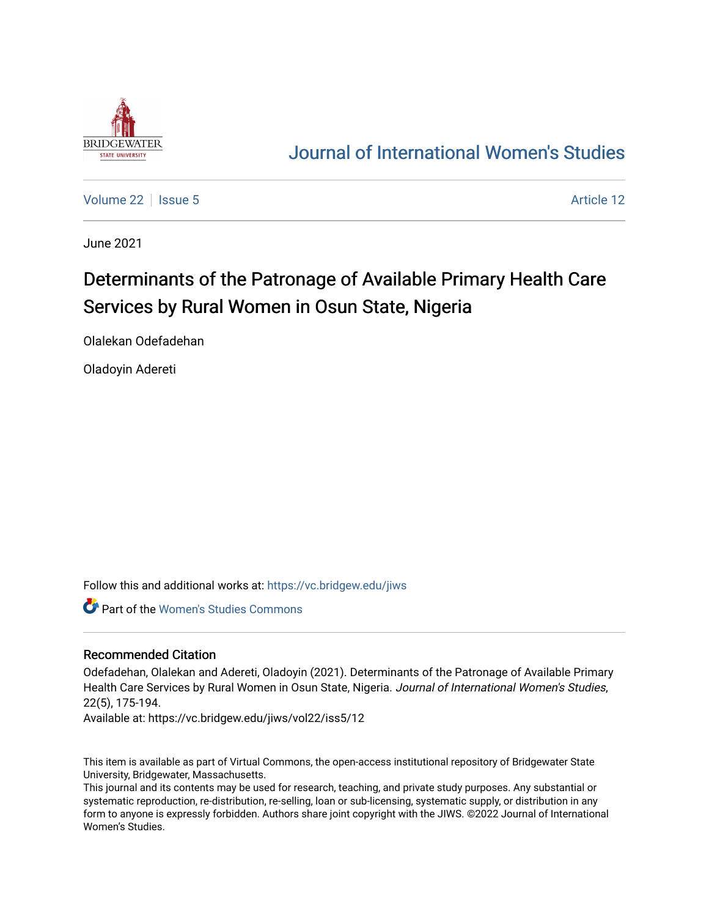

# [Journal of International Women's Studies](https://vc.bridgew.edu/jiws)

[Volume 22](https://vc.bridgew.edu/jiws/vol22) | [Issue 5](https://vc.bridgew.edu/jiws/vol22/iss5) Article 12

June 2021

# Determinants of the Patronage of Available Primary Health Care Services by Rural Women in Osun State, Nigeria

Olalekan Odefadehan

Oladoyin Adereti

Follow this and additional works at: [https://vc.bridgew.edu/jiws](https://vc.bridgew.edu/jiws?utm_source=vc.bridgew.edu%2Fjiws%2Fvol22%2Fiss5%2F12&utm_medium=PDF&utm_campaign=PDFCoverPages)

Part of the [Women's Studies Commons](http://network.bepress.com/hgg/discipline/561?utm_source=vc.bridgew.edu%2Fjiws%2Fvol22%2Fiss5%2F12&utm_medium=PDF&utm_campaign=PDFCoverPages) 

#### Recommended Citation

Odefadehan, Olalekan and Adereti, Oladoyin (2021). Determinants of the Patronage of Available Primary Health Care Services by Rural Women in Osun State, Nigeria. Journal of International Women's Studies, 22(5), 175-194.

Available at: https://vc.bridgew.edu/jiws/vol22/iss5/12

This item is available as part of Virtual Commons, the open-access institutional repository of Bridgewater State University, Bridgewater, Massachusetts.

This journal and its contents may be used for research, teaching, and private study purposes. Any substantial or systematic reproduction, re-distribution, re-selling, loan or sub-licensing, systematic supply, or distribution in any form to anyone is expressly forbidden. Authors share joint copyright with the JIWS. ©2022 Journal of International Women's Studies.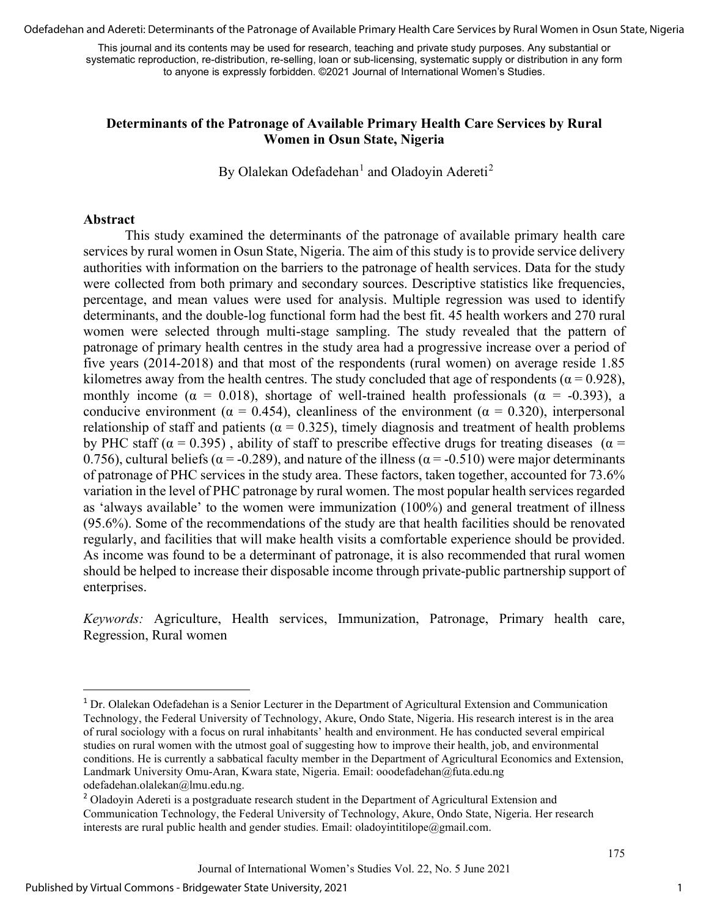Odefadehan and Adereti: Determinants of the Patronage of Available Primary Health Care Services by Rural Women in Osun State, Nigeria

This journal and its contents may be used for research, teaching and private study purposes. Any substantial or systematic reproduction, re-distribution, re-selling, loan or sub-licensing, systematic supply or distribution in any form to anyone is expressly forbidden. ©2021 Journal of International Women's Studies.

#### **Determinants of the Patronage of Available Primary Health Care Services by Rural Women in Osun State, Nigeria**

By Olalekan Odefadehan $^1$  $^1$  and Oladoyin Adereti<sup>[2](#page-1-1)</sup>

#### **Abstract**

This study examined the determinants of the patronage of available primary health care services by rural women in Osun State, Nigeria. The aim of this study is to provide service delivery authorities with information on the barriers to the patronage of health services. Data for the study were collected from both primary and secondary sources. Descriptive statistics like frequencies, percentage, and mean values were used for analysis. Multiple regression was used to identify determinants, and the double-log functional form had the best fit. 45 health workers and 270 rural women were selected through multi-stage sampling. The study revealed that the pattern of patronage of primary health centres in the study area had a progressive increase over a period of five years (2014-2018) and that most of the respondents (rural women) on average reside 1.85 kilometres away from the health centres. The study concluded that age of respondents ( $\alpha$  = 0.928), monthly income ( $\alpha = 0.018$ ), shortage of well-trained health professionals ( $\alpha = -0.393$ ), a conducive environment ( $\alpha = 0.454$ ), cleanliness of the environment ( $\alpha = 0.320$ ), interpersonal relationship of staff and patients ( $\alpha = 0.325$ ), timely diagnosis and treatment of health problems by PHC staff ( $\alpha$  = 0.395), ability of staff to prescribe effective drugs for treating diseases ( $\alpha$  = 0.756), cultural beliefs ( $\alpha$  = -0.289), and nature of the illness ( $\alpha$  = -0.510) were major determinants of patronage of PHC services in the study area. These factors, taken together, accounted for 73.6% variation in the level of PHC patronage by rural women. The most popular health services regarded as 'always available' to the women were immunization (100%) and general treatment of illness (95.6%). Some of the recommendations of the study are that health facilities should be renovated regularly, and facilities that will make health visits a comfortable experience should be provided. As income was found to be a determinant of patronage, it is also recommended that rural women should be helped to increase their disposable income through private-public partnership support of enterprises.

*Keywords:* Agriculture, Health services, Immunization, Patronage, Primary health care, Regression, Rural women

<span id="page-1-0"></span><sup>&</sup>lt;sup>1</sup> Dr. Olalekan Odefadehan is a Senior Lecturer in the Department of Agricultural Extension and Communication Technology, the Federal University of Technology, Akure, Ondo State, Nigeria. His research interest is in the area of rural sociology with a focus on rural inhabitants' health and environment. He has conducted several empirical studies on rural women with the utmost goal of suggesting how to improve their health, job, and environmental conditions. He is currently a sabbatical faculty member in the Department of Agricultural Economics and Extension, Landmark University Omu-Aran, Kwara state, Nigeria. Email: ooodefadehan@futa.edu.ng odefadehan.olalekan@lmu.edu.ng.

<span id="page-1-1"></span><sup>&</sup>lt;sup>2</sup> Oladoyin Adereti is a postgraduate research student in the Department of Agricultural Extension and Communication Technology, the Federal University of Technology, Akure, Ondo State, Nigeria. Her research interests are rural public health and gender studies. Email: oladoyintitilope@gmail.com.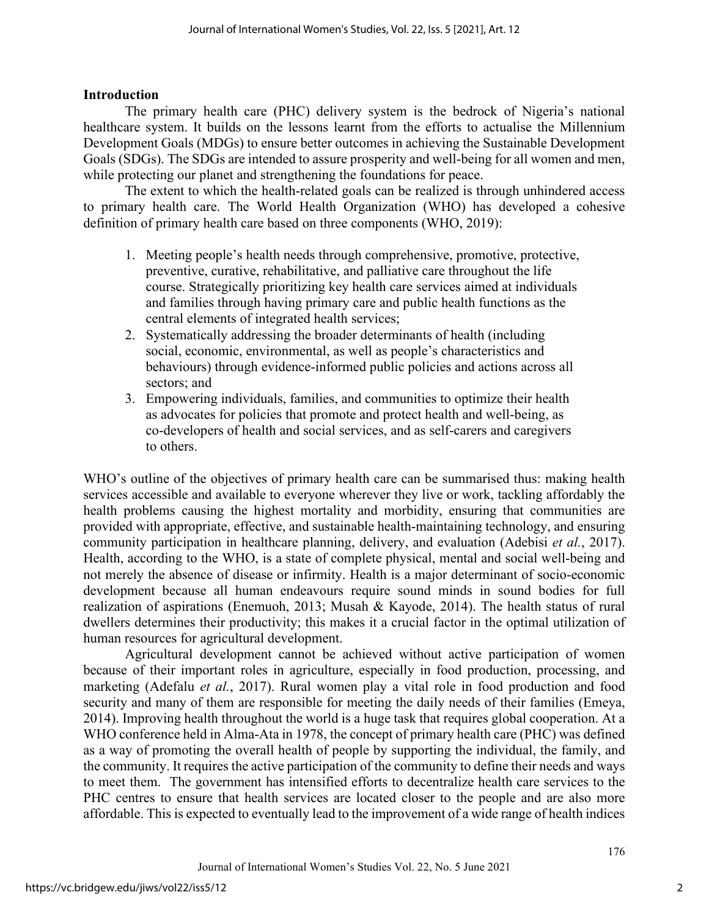# **Introduction**

The primary health care (PHC) delivery system is the bedrock of Nigeria's national healthcare system. It builds on the lessons learnt from the efforts to actualise the Millennium Development Goals (MDGs) to ensure better outcomes in achieving the Sustainable Development Goals (SDGs). The SDGs are intended to assure prosperity and well-being for all women and men, while protecting our planet and strengthening the foundations for peace.

The extent to which the health-related goals can be realized is through unhindered access to primary health care. The World Health Organization (WHO) has developed a cohesive definition of primary health care based on three components (WHO, 2019):

- 1. Meeting people's health needs through comprehensive, promotive, protective, preventive, curative, rehabilitative, and palliative care throughout the life course. Strategically prioritizing key health care services aimed at individuals and families through having primary care and public health functions as the central elements of integrated health services;
- 2. Systematically addressing the broader determinants of health (including social, economic, environmental, as well as people's characteristics and behaviours) through evidence-informed public policies and actions across all sectors; and
- 3. Empowering individuals, families, and communities to optimize their health as advocates for policies that promote and protect health and well-being, as co-developers of health and social services, and as self-carers and caregivers to others.

WHO's outline of the objectives of primary health care can be summarised thus: making health services accessible and available to everyone wherever they live or work, tackling affordably the health problems causing the highest mortality and morbidity, ensuring that communities are provided with appropriate, effective, and sustainable health-maintaining technology, and ensuring community participation in healthcare planning, delivery, and evaluation (Adebisi *et al.*, 2017). Health, according to the WHO, is a state of complete physical, mental and social well-being and not merely the absence of disease or infirmity. Health is a major determinant of socio-economic development because all human endeavours require sound minds in sound bodies for full realization of aspirations (Enemuoh, 2013; Musah & Kayode, 2014). The health status of rural dwellers determines their productivity; this makes it a crucial factor in the optimal utilization of human resources for agricultural development.

Agricultural development cannot be achieved without active participation of women because of their important roles in agriculture, especially in food production, processing, and marketing (Adefalu *et al.*, 2017). Rural women play a vital role in food production and food security and many of them are responsible for meeting the daily needs of their families (Emeya, 2014). Improving health throughout the world is a huge task that requires global cooperation. At a WHO conference held in Alma-Ata in 1978, the concept of primary health care (PHC) was defined as a way of promoting the overall health of people by supporting the individual, the family, and the community. It requires the active participation of the community to define their needs and ways to meet them. The government has intensified efforts to decentralize health care services to the PHC centres to ensure that health services are located closer to the people and are also more affordable. This is expected to eventually lead to the improvement of a wide range of health indices

2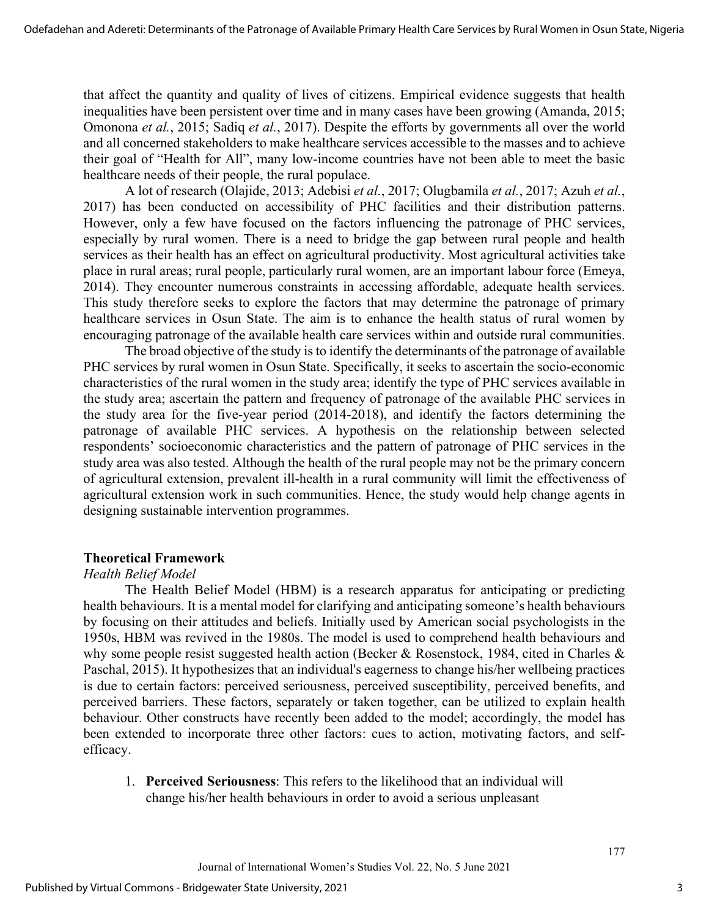that affect the quantity and quality of lives of citizens. Empirical evidence suggests that health inequalities have been persistent over time and in many cases have been growing (Amanda, 2015; Omonona *et al.*, 2015; Sadiq *et al.*, 2017). Despite the efforts by governments all over the world and all concerned stakeholders to make healthcare services accessible to the masses and to achieve their goal of "Health for All", many low-income countries have not been able to meet the basic healthcare needs of their people, the rural populace.

A lot of research (Olajide, 2013; Adebisi *et al.*, 2017; Olugbamila *et al.*, 2017; Azuh *et al.*, 2017) has been conducted on accessibility of PHC facilities and their distribution patterns. However, only a few have focused on the factors influencing the patronage of PHC services, especially by rural women. There is a need to bridge the gap between rural people and health services as their health has an effect on agricultural productivity. Most agricultural activities take place in rural areas; rural people, particularly rural women, are an important labour force (Emeya, 2014). They encounter numerous constraints in accessing affordable, adequate health services. This study therefore seeks to explore the factors that may determine the patronage of primary healthcare services in Osun State. The aim is to enhance the health status of rural women by encouraging patronage of the available health care services within and outside rural communities.

The broad objective of the study is to identify the determinants of the patronage of available PHC services by rural women in Osun State. Specifically, it seeks to ascertain the socio-economic characteristics of the rural women in the study area; identify the type of PHC services available in the study area; ascertain the pattern and frequency of patronage of the available PHC services in the study area for the five-year period (2014-2018), and identify the factors determining the patronage of available PHC services. A hypothesis on the relationship between selected respondents' socioeconomic characteristics and the pattern of patronage of PHC services in the study area was also tested. Although the health of the rural people may not be the primary concern of agricultural extension, prevalent ill-health in a rural community will limit the effectiveness of agricultural extension work in such communities. Hence, the study would help change agents in designing sustainable intervention programmes.

#### **Theoretical Framework**

#### *Health Belief Model*

The Health Belief Model (HBM) is a research apparatus for anticipating or predicting health behaviours. It is a mental model for clarifying and anticipating someone's health behaviours by focusing on their attitudes and beliefs. Initially used by American social psychologists in the 1950s, HBM was revived in the 1980s. The model is used to comprehend health behaviours and why some people resist suggested health action (Becker & Rosenstock, 1984, cited in Charles & Paschal, 2015). It hypothesizes that an individual's eagerness to change his/her wellbeing practices is due to certain factors: perceived seriousness, perceived susceptibility, perceived benefits, and perceived barriers. These factors, separately or taken together, can be utilized to explain health behaviour. Other constructs have recently been added to the model; accordingly, the model has been extended to incorporate three other factors: cues to action, motivating factors, and selfefficacy.

1. **Perceived Seriousness**: This refers to the likelihood that an individual will change his/her health behaviours in order to avoid a serious unpleasant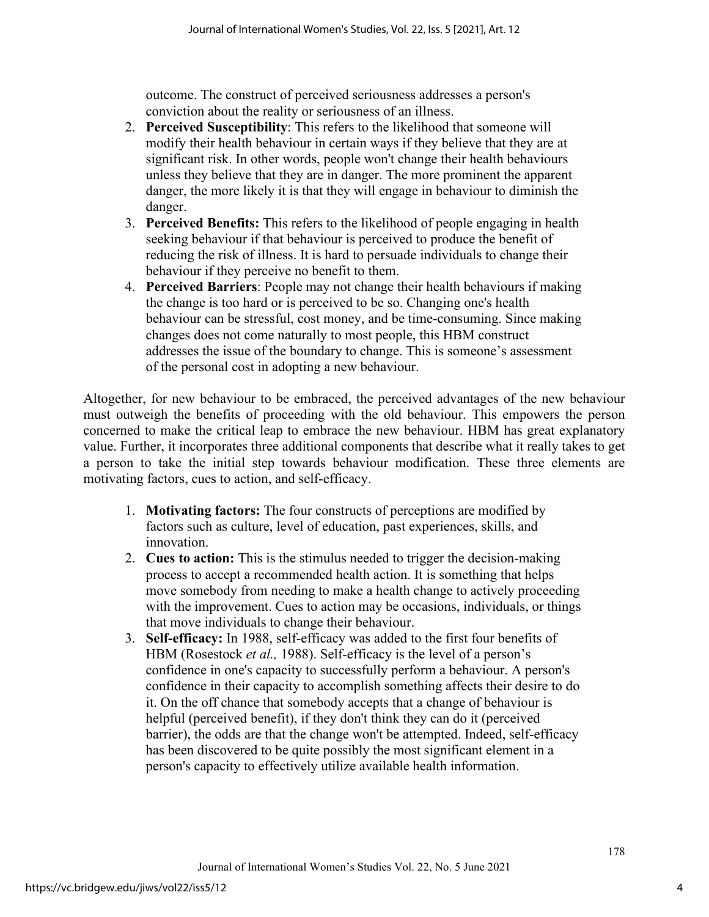outcome. The construct of perceived seriousness addresses a person's conviction about the reality or seriousness of an illness.

- 2. **Perceived Susceptibility**: This refers to the likelihood that someone will modify their health behaviour in certain ways if they believe that they are at significant risk. In other words, people won't change their health behaviours unless they believe that they are in danger. The more prominent the apparent danger, the more likely it is that they will engage in behaviour to diminish the danger.
- 3. **Perceived Benefits:** This refers to the likelihood of people engaging in health seeking behaviour if that behaviour is perceived to produce the benefit of reducing the risk of illness. It is hard to persuade individuals to change their behaviour if they perceive no benefit to them.
- 4. **Perceived Barriers**: People may not change their health behaviours if making the change is too hard or is perceived to be so. Changing one's health behaviour can be stressful, cost money, and be time-consuming. Since making changes does not come naturally to most people, this HBM construct addresses the issue of the boundary to change. This is someone's assessment of the personal cost in adopting a new behaviour.

Altogether, for new behaviour to be embraced, the perceived advantages of the new behaviour must outweigh the benefits of proceeding with the old behaviour. This empowers the person concerned to make the critical leap to embrace the new behaviour. HBM has great explanatory value. Further, it incorporates three additional components that describe what it really takes to get a person to take the initial step towards behaviour modification. These three elements are motivating factors, cues to action, and self-efficacy.

- 1. **Motivating factors:** The four constructs of perceptions are modified by factors such as culture, level of education, past experiences, skills, and innovation.
- 2. **Cues to action:** This is the stimulus needed to trigger the decision-making process to accept a recommended health action. It is something that helps move somebody from needing to make a health change to actively proceeding with the improvement. Cues to action may be occasions, individuals, or things that move individuals to change their behaviour.
- 3. **Self-efficacy:** In 1988, self-efficacy was added to the first four benefits of HBM (Rosestock *et al.,* 1988). Self-efficacy is the level of a person's confidence in one's capacity to successfully perform a behaviour. A person's confidence in their capacity to accomplish something affects their desire to do it. On the off chance that somebody accepts that a change of behaviour is helpful (perceived benefit), if they don't think they can do it (perceived barrier), the odds are that the change won't be attempted. Indeed, self-efficacy has been discovered to be quite possibly the most significant element in a person's capacity to effectively utilize available health information.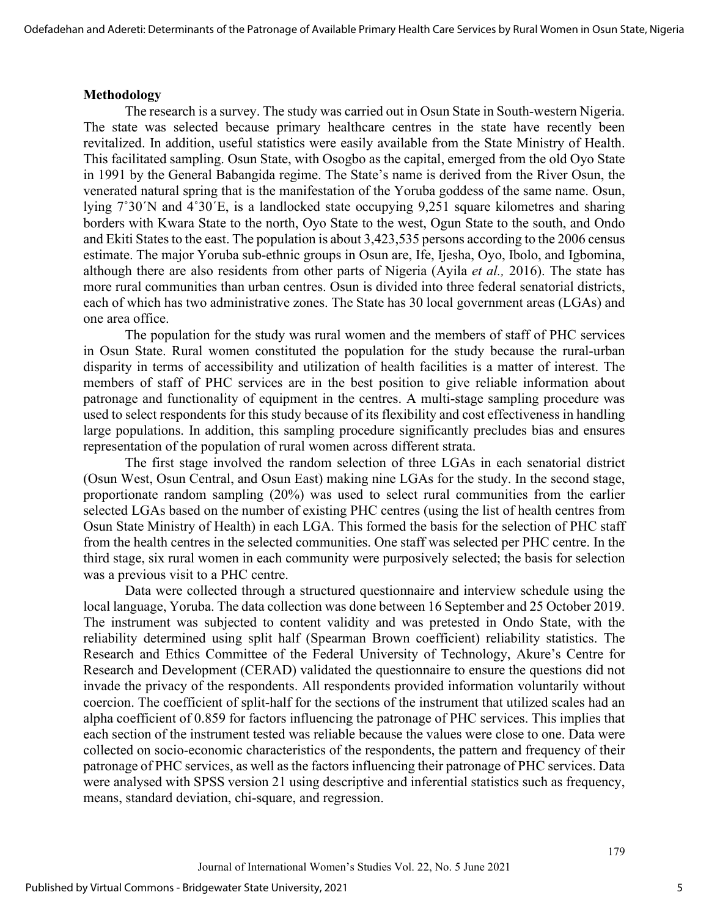#### **Methodology**

The research is a survey. The study was carried out in Osun State in South-western Nigeria. The state was selected because primary healthcare centres in the state have recently been revitalized. In addition, useful statistics were easily available from the State Ministry of Health. This facilitated sampling. Osun State, with Osogbo as the capital, emerged from the old Oyo State in 1991 by the General Babangida regime. The State's name is derived from the River Osun, the venerated natural spring that is the manifestation of the Yoruba goddess of the same name. Osun, lying 7˚30ˊN and 4˚30ˊE, is a landlocked state occupying 9,251 square kilometres and sharing borders with Kwara State to the north, Oyo State to the west, Ogun State to the south, and Ondo and Ekiti States to the east. The population is about 3,423,535 persons according to the 2006 census estimate. The major Yoruba sub-ethnic groups in Osun are, Ife, Ijesha, Oyo, Ibolo, and Igbomina, although there are also residents from other parts of Nigeria (Ayila *et al.,* 2016). The state has more rural communities than urban centres. Osun is divided into three federal senatorial districts, each of which has two administrative zones. The State has 30 local government areas (LGAs) and one area office.

The population for the study was rural women and the members of staff of PHC services in Osun State. Rural women constituted the population for the study because the rural-urban disparity in terms of accessibility and utilization of health facilities is a matter of interest. The members of staff of PHC services are in the best position to give reliable information about patronage and functionality of equipment in the centres. A multi-stage sampling procedure was used to select respondents for this study because of its flexibility and cost effectiveness in handling large populations. In addition, this sampling procedure significantly precludes bias and ensures representation of the population of rural women across different strata.

The first stage involved the random selection of three LGAs in each senatorial district (Osun West, Osun Central, and Osun East) making nine LGAs for the study. In the second stage, proportionate random sampling (20%) was used to select rural communities from the earlier selected LGAs based on the number of existing PHC centres (using the list of health centres from Osun State Ministry of Health) in each LGA. This formed the basis for the selection of PHC staff from the health centres in the selected communities. One staff was selected per PHC centre. In the third stage, six rural women in each community were purposively selected; the basis for selection was a previous visit to a PHC centre.

Data were collected through a structured questionnaire and interview schedule using the local language, Yoruba. The data collection was done between 16 September and 25 October 2019. The instrument was subjected to content validity and was pretested in Ondo State, with the reliability determined using split half (Spearman Brown coefficient) reliability statistics. The Research and Ethics Committee of the Federal University of Technology, Akure's Centre for Research and Development (CERAD) validated the questionnaire to ensure the questions did not invade the privacy of the respondents. All respondents provided information voluntarily without coercion. The coefficient of split-half for the sections of the instrument that utilized scales had an alpha coefficient of 0.859 for factors influencing the patronage of PHC services. This implies that each section of the instrument tested was reliable because the values were close to one. Data were collected on socio-economic characteristics of the respondents, the pattern and frequency of their patronage of PHC services, as well as the factors influencing their patronage of PHC services. Data were analysed with SPSS version 21 using descriptive and inferential statistics such as frequency, means, standard deviation, chi-square, and regression.

5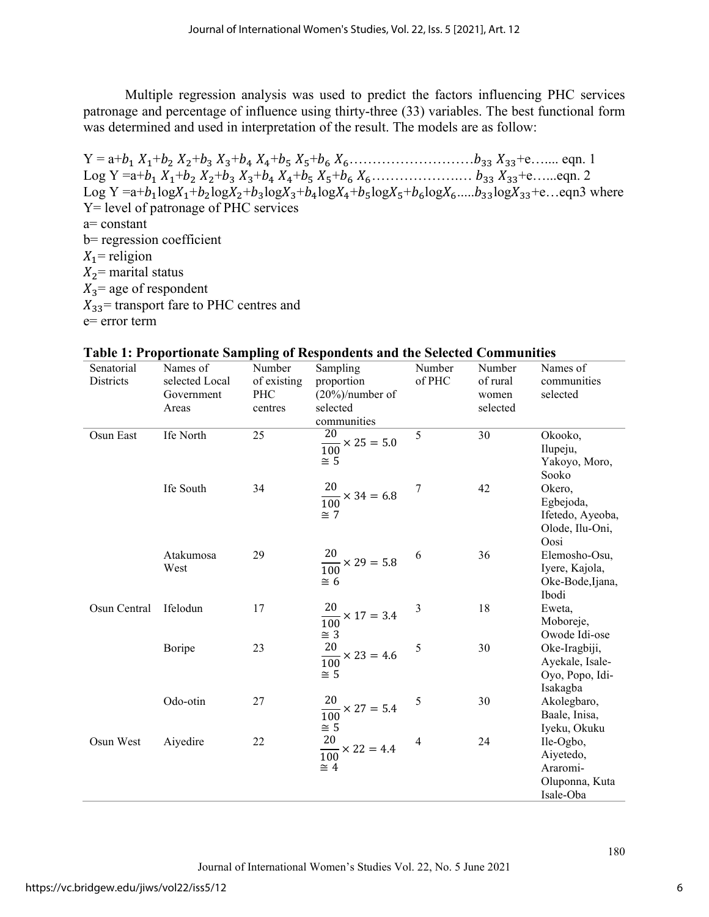Multiple regression analysis was used to predict the factors influencing PHC services patronage and percentage of influence using thirty-three (33) variables. The best functional form was determined and used in interpretation of the result. The models are as follow:

 $Y = a+b_1 X_1+b_2 X_2+b_3 X_3+b_4 X_4+b_5 X_5+b_6 X_6...$   $k_5...k_{33} X_{33}+e...$  eqn. 1 Log Y =a+1 1+2 2+3 3+4 4+5 5+6 6……………….… 33 33+e…...eqn. 2 Log Y =a+ $b_1$ log $X_1 + b_2$ log $X_2 + b_3$ log $X_3 + b_4$ log $X_4 + b_5$ log $X_5 + b_6$ log $X_6$ ..... $b_{33}$ log $X_{33}$ +e...eqn3 where Y= level of patronage of PHC services a= constant b= regression coefficient  $X_1$ = religion  $X_2$ = marital status  $X_3$  = age of respondent  $X_{33}$  transport fare to PHC centres and e= error term

| Senatorial   | Names of       | Number      | Sampling                                       | Number | Number   | Names of         |
|--------------|----------------|-------------|------------------------------------------------|--------|----------|------------------|
| Districts    | selected Local | of existing | proportion                                     | of PHC | of rural | communities      |
|              | Government     | PHC         | $(20\%)$ /number of                            |        | women    | selected         |
|              | Areas          | centres     | selected                                       |        | selected |                  |
|              |                |             | communities                                    |        |          |                  |
| Osun East    | Ife North      | 25          | $\overline{20}$<br>$\frac{20}{100}$ × 25 = 5.0 | 5      | 30       | Okooko,          |
|              |                |             |                                                |        |          | Ilupeju,         |
|              |                |             | $\cong$ 5                                      |        |          | Yakoyo, Moro,    |
|              |                |             |                                                |        |          | Sooko            |
|              | Ife South      | 34          | $\frac{20}{100}$ × 34 = 6.8                    | 7      | 42       | Okero,           |
|              |                |             |                                                |        |          | Egbejoda,        |
|              |                |             | $\cong$ 7                                      |        |          | Ifetedo, Ayeoba, |
|              |                |             |                                                |        |          | Olode, Ilu-Oni,  |
|              |                |             |                                                |        |          | Oosi             |
|              | Atakumosa      | 29          | $\frac{20}{100}$ × 29 = 5.8                    | 6      | 36       | Elemosho-Osu,    |
|              | West           |             |                                                |        |          | Iyere, Kajola,   |
|              |                |             | $\cong$ 6                                      |        |          | Oke-Bode, Ijana, |
|              |                |             |                                                |        |          | Ibodi            |
| Osun Central | Ifelodun       | 17          | $\frac{20}{100}$ × 17 = 3.4                    | 3      | 18       | Eweta,           |
|              |                |             |                                                |        |          | Moboreje,        |
|              |                |             | $\cong$ 3                                      |        |          | Owode Idi-ose    |
|              | Boripe         | 23          | $\frac{20}{100}$ × 23 = 4.6                    | 5      | 30       | Oke-Iragbiji,    |
|              |                |             |                                                |        |          | Ayekale, Isale-  |
|              |                |             | $\cong$ 5                                      |        |          | Oyo, Popo, Idi-  |
|              |                |             |                                                |        |          | Isakagba         |
|              | Odo-otin       | 27          | $\frac{20}{100}$ × 27 = 5.4                    | 5      | 30       | Akolegbaro,      |
|              |                |             |                                                |        |          | Baale, Inisa,    |
|              |                |             | $\cong$ 5                                      |        |          | Iyeku, Okuku     |
| Osun West    | Aiyedire       | 22          | 20                                             | 4      | 24       | Ile-Ogbo,        |
|              |                |             | $\frac{28}{100}$ × 22 = 4.4                    |        |          | Aiyetedo,        |
|              |                |             | $\cong$ 4                                      |        |          | Araromi-         |
|              |                |             |                                                |        |          | Oluponna, Kuta   |
|              |                |             |                                                |        |          | Isale-Oba        |

# **Table 1: Proportionate Sampling of Respondents and the Selected Communities**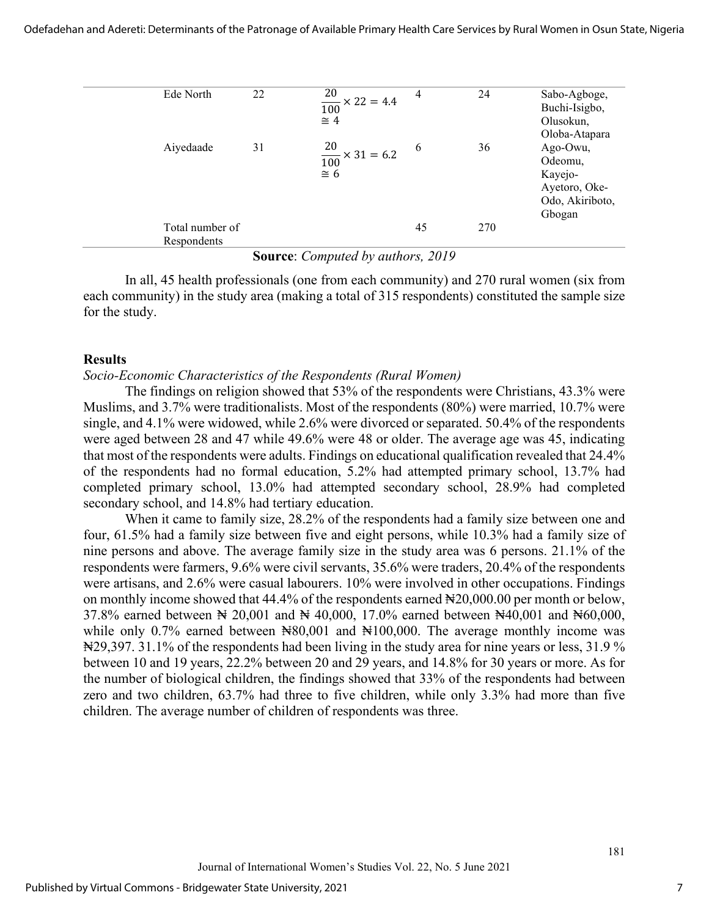Odefadehan and Adereti: Determinants of the Patronage of Available Primary Health Care Services by Rural Women in Osun State, Nigeria

| Ede North |                 | 22 | $\frac{20}{100}$ × 22 = 4.4<br>$\cong$ 4   | 4  | 24  | Sabo-Agboge,<br>Buchi-Isigbo,<br>Olusokun,<br>Oloba-Atapara                  |
|-----------|-----------------|----|--------------------------------------------|----|-----|------------------------------------------------------------------------------|
| Aiyedaade |                 | 31 | $\frac{20}{100}$ × 31 = 6.2<br>$\approx 6$ | 6  | 36  | Ago-Owu,<br>Odeomu,<br>Kayejo-<br>Ayetoro, Oke-<br>Odo, Akiriboto,<br>Gbogan |
|           | Total number of |    |                                            | 45 | 270 |                                                                              |
|           | Respondents     |    |                                            |    |     |                                                                              |

**Source**: *Computed by authors, 2019* 

In all, 45 health professionals (one from each community) and 270 rural women (six from each community) in the study area (making a total of 315 respondents) constituted the sample size for the study.

#### **Results**

#### *Socio-Economic Characteristics of the Respondents (Rural Women)*

The findings on religion showed that 53% of the respondents were Christians, 43.3% were Muslims, and 3.7% were traditionalists. Most of the respondents (80%) were married, 10.7% were single, and 4.1% were widowed, while 2.6% were divorced or separated. 50.4% of the respondents were aged between 28 and 47 while 49.6% were 48 or older. The average age was 45, indicating that most of the respondents were adults. Findings on educational qualification revealed that 24.4% of the respondents had no formal education, 5.2% had attempted primary school, 13.7% had completed primary school, 13.0% had attempted secondary school, 28.9% had completed secondary school, and 14.8% had tertiary education.

 When it came to family size, 28.2% of the respondents had a family size between one and four, 61.5% had a family size between five and eight persons, while 10.3% had a family size of nine persons and above. The average family size in the study area was 6 persons. 21.1% of the respondents were farmers, 9.6% were civil servants, 35.6% were traders, 20.4% of the respondents were artisans, and 2.6% were casual labourers. 10% were involved in other occupations. Findings on monthly income showed that 44.4% of the respondents earned  $\text{H20,000.00}$  per month or below, 37.8% earned between ₦ 20,001 and ₦ 40,000, 17.0% earned between ₦40,001 and ₦60,000, while only  $0.7\%$  earned between  $\text{N}80,001$  and  $\text{N}100,000$ . The average monthly income was ₦29,397. 31.1% of the respondents had been living in the study area for nine years or less, 31.9 % between 10 and 19 years, 22.2% between 20 and 29 years, and 14.8% for 30 years or more. As for the number of biological children, the findings showed that 33% of the respondents had between zero and two children, 63.7% had three to five children, while only 3.3% had more than five children. The average number of children of respondents was three.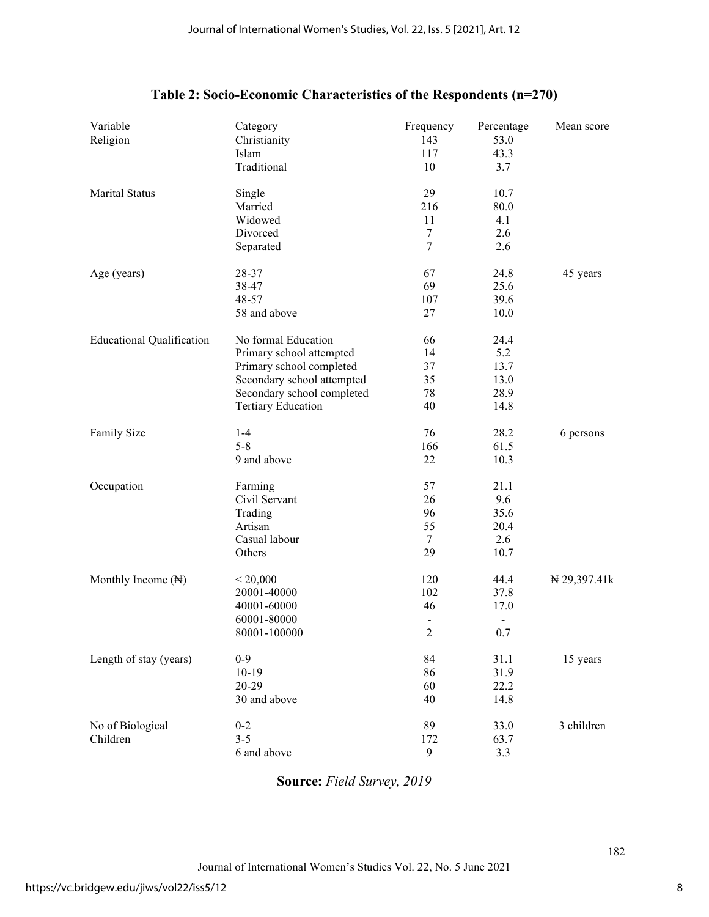| Variable                         | Category                   | Frequency      | Percentage                   | Mean score       |
|----------------------------------|----------------------------|----------------|------------------------------|------------------|
| Religion                         | Christianity               | 143            | 53.0                         |                  |
|                                  | Islam                      | 117            | 43.3                         |                  |
|                                  | Traditional                | 10             | 3.7                          |                  |
| Marital Status                   | Single                     | 29             | 10.7                         |                  |
|                                  | Married                    | 216            | 80.0                         |                  |
|                                  | Widowed                    | 11             | 4.1                          |                  |
|                                  | Divorced                   | 7              | 2.6                          |                  |
|                                  | Separated                  | 7              | 2.6                          |                  |
| Age (years)                      | 28-37                      | 67             | 24.8                         | 45 years         |
|                                  | 38-47                      | 69             | 25.6                         |                  |
|                                  | 48-57                      | 107            | 39.6                         |                  |
|                                  | 58 and above               | 27             | 10.0                         |                  |
| <b>Educational Qualification</b> | No formal Education        | 66             | 24.4                         |                  |
|                                  | Primary school attempted   | 14             | 5.2                          |                  |
|                                  | Primary school completed   | 37             | 13.7                         |                  |
|                                  | Secondary school attempted | 35             | 13.0                         |                  |
|                                  | Secondary school completed | 78             | 28.9                         |                  |
|                                  | <b>Tertiary Education</b>  | 40             | 14.8                         |                  |
|                                  |                            |                |                              |                  |
| Family Size                      | $1 - 4$                    | 76             | 28.2                         | 6 persons        |
|                                  | $5 - 8$                    | 166            | 61.5                         |                  |
|                                  | 9 and above                | 22             | 10.3                         |                  |
| Occupation                       | Farming                    | 57             | 21.1                         |                  |
|                                  | Civil Servant              | 26             | 9.6                          |                  |
|                                  | Trading                    | 96             | 35.6                         |                  |
|                                  | Artisan                    | 55             | 20.4                         |                  |
|                                  | Casual labour              | $\tau$         | 2.6                          |                  |
|                                  | Others                     | 29             | 10.7                         |                  |
| Monthly Income (N)               | < 20,000                   | 120            | 44.4                         | $\pm 29,397.41k$ |
|                                  | 20001-40000                | 102            | 37.8                         |                  |
|                                  | 40001-60000                | 46             | 17.0                         |                  |
|                                  | 60001-80000                |                | $\qquad \qquad \blacksquare$ |                  |
|                                  | 80001-100000               | $\overline{c}$ | 0.7                          |                  |
| Length of stay (years)           | $0 - 9$                    | 84             | 31.1                         | 15 years         |
|                                  | $10-19$                    | 86             | 31.9                         |                  |
|                                  | 20-29                      | 60             | 22.2                         |                  |
|                                  | 30 and above               | 40             | 14.8                         |                  |
|                                  |                            |                |                              |                  |
| No of Biological                 | $0 - 2$                    | 89             | 33.0                         | 3 children       |
| Children                         | $3 - 5$                    | 172            | 63.7                         |                  |
|                                  | 6 and above                | 9              | 3.3                          |                  |

# **Table 2: Socio-Economic Characteristics of the Respondents (n=270)**

**Source:** *Field Survey, 2019*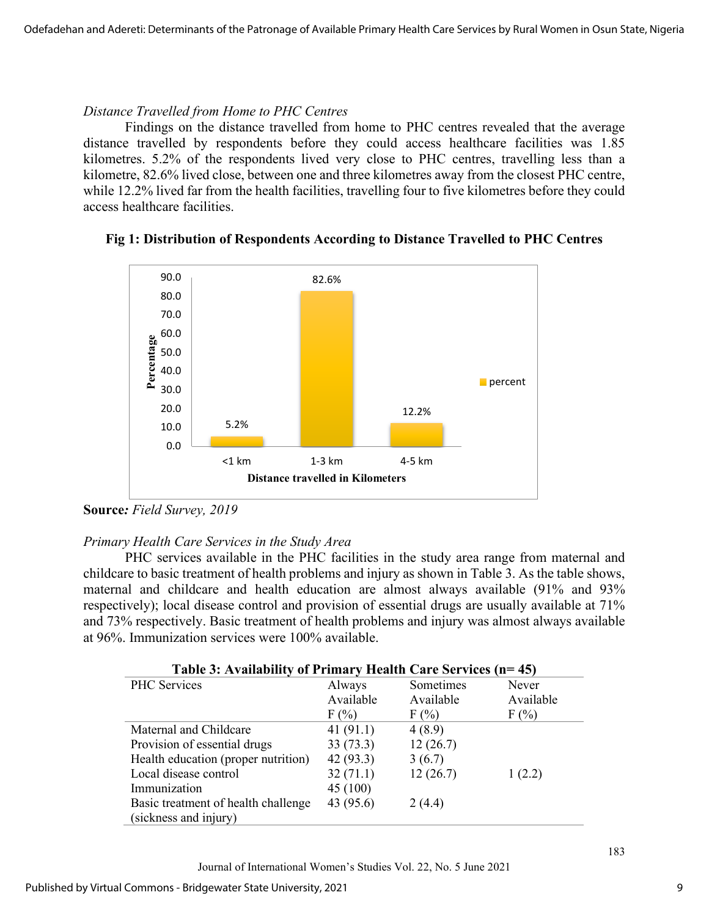#### *Distance Travelled from Home to PHC Centres*

Findings on the distance travelled from home to PHC centres revealed that the average distance travelled by respondents before they could access healthcare facilities was 1.85 kilometres. 5.2% of the respondents lived very close to PHC centres, travelling less than a kilometre, 82.6% lived close, between one and three kilometres away from the closest PHC centre, while 12.2% lived far from the health facilities, travelling four to five kilometres before they could access healthcare facilities.



# **Fig 1: Distribution of Respondents According to Distance Travelled to PHC Centres**

**Source***: Field Survey, 2019*

# *Primary Health Care Services in the Study Area*

PHC services available in the PHC facilities in the study area range from maternal and childcare to basic treatment of health problems and injury as shown in Table 3. As the table shows, maternal and childcare and health education are almost always available (91% and 93% respectively); local disease control and provision of essential drugs are usually available at 71% and 73% respectively. Basic treatment of health problems and injury was almost always available at 96%. Immunization services were 100% available.

| Table 3: Availability of Primary Health Care Services (n=45) |           |           |           |  |  |
|--------------------------------------------------------------|-----------|-----------|-----------|--|--|
| <b>PHC</b> Services                                          | Always    | Sometimes | Never     |  |  |
|                                                              | Available | Available | Available |  |  |
|                                                              | F(%)      | F(%)      | F(%)      |  |  |
| Maternal and Childcare                                       | 41(91.1)  | 4(8.9)    |           |  |  |
| Provision of essential drugs                                 | 33(73.3)  | 12(26.7)  |           |  |  |
| Health education (proper nutrition)                          | 42(93.3)  | 3(6.7)    |           |  |  |
| Local disease control                                        | 32(71.1)  | 12(26.7)  | 1(2.2)    |  |  |
| Immunization                                                 | 45(100)   |           |           |  |  |
| Basic treatment of health challenge                          | 43 (95.6) | 2(4.4)    |           |  |  |
| (sickness and injury)                                        |           |           |           |  |  |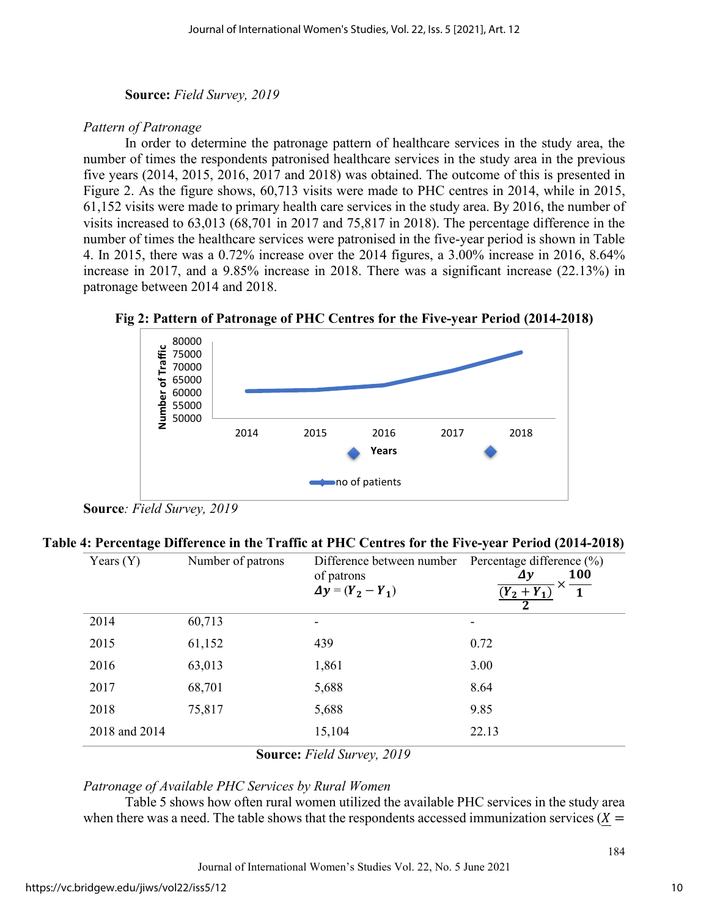# **Source:** *Field Survey, 2019*

# *Pattern of Patronage*

In order to determine the patronage pattern of healthcare services in the study area, the number of times the respondents patronised healthcare services in the study area in the previous five years (2014, 2015, 2016, 2017 and 2018) was obtained. The outcome of this is presented in Figure 2. As the figure shows, 60,713 visits were made to PHC centres in 2014, while in 2015, 61,152 visits were made to primary health care services in the study area. By 2016, the number of visits increased to 63,013 (68,701 in 2017 and 75,817 in 2018). The percentage difference in the number of times the healthcare services were patronised in the five-year period is shown in Table 4. In 2015, there was a 0.72% increase over the 2014 figures, a 3.00% increase in 2016, 8.64% increase in 2017, and a 9.85% increase in 2018. There was a significant increase (22.13%) in patronage between 2014 and 2018.

**Fig 2: Pattern of Patronage of PHC Centres for the Five-year Period (2014-2018)** 



**Source***: Field Survey, 2019* 

#### **Table 4: Percentage Difference in the Traffic at PHC Centres for the Five-year Period (2014-2018)**

| Years $(Y)$   | Number of patrons | Difference between number<br>of patrons<br>$\Delta y = (Y_2 - Y_1)$ | Percentage difference $(\% )$<br><b>100</b><br>Δγ<br>$(Y_2 + Y_1)$ |
|---------------|-------------------|---------------------------------------------------------------------|--------------------------------------------------------------------|
| 2014          | 60,713            | -                                                                   |                                                                    |
| 2015          | 61,152            | 439                                                                 | 0.72                                                               |
| 2016          | 63,013            | 1,861                                                               | 3.00                                                               |
| 2017          | 68,701            | 5,688                                                               | 8.64                                                               |
| 2018          | 75,817            | 5,688                                                               | 9.85                                                               |
| 2018 and 2014 |                   | 15,104                                                              | 22.13                                                              |

**Source:** *Field Survey, 2019*

# *Patronage of Available PHC Services by Rural Women*

Table 5 shows how often rural women utilized the available PHC services in the study area when there was a need. The table shows that the respondents accessed immunization services  $(X =$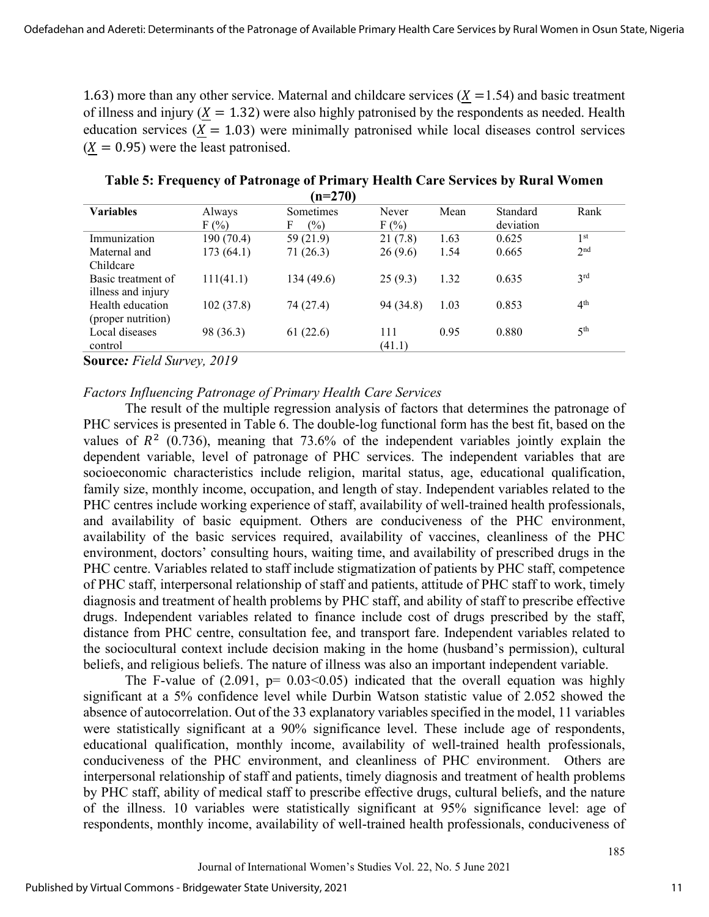1.63) more than any other service. Maternal and childcare services  $(X = 1.54)$  and basic treatment of illness and injury ( $X = 1.32$ ) were also highly patronised by the respondents as needed. Health education services  $(X = 1.03)$  were minimally patronised while local diseases control services  $(X = 0.95)$  were the least patronised.

|                    |            | $1 - 270$           |           |      |           |                 |
|--------------------|------------|---------------------|-----------|------|-----------|-----------------|
| <b>Variables</b>   | Always     | Sometimes           | Never     | Mean | Standard  | Rank            |
|                    | F(%)       | F<br>$\binom{0}{0}$ | F(%)      |      | deviation |                 |
| Immunization       | 190 (70.4) | 59 (21.9)           | 21(7.8)   | 1.63 | 0.625     | 1 <sup>st</sup> |
| Maternal and       | 173(64.1)  | 71(26.3)            | 26(9.6)   | 1.54 | 0.665     | 2 <sub>nd</sub> |
| Childcare          |            |                     |           |      |           |                 |
| Basic treatment of | 111(41.1)  | 134 (49.6)          | 25(9.3)   | 1.32 | 0.635     | 3 <sup>rd</sup> |
| illness and injury |            |                     |           |      |           |                 |
| Health education   | 102(37.8)  | 74 (27.4)           | 94 (34.8) | 1.03 | 0.853     | 4 <sup>th</sup> |
| (proper nutrition) |            |                     |           |      |           |                 |
| Local diseases     | 98 (36.3)  | 61(22.6)            | 111       | 0.95 | 0.880     | 5 <sup>th</sup> |
| control            |            |                     | (41.1)    |      |           |                 |

**Table 5: Frequency of Patronage of Primary Health Care Services by Rural Women (n=270)** 

**Source***: Field Survey, 2019*

#### *Factors Influencing Patronage of Primary Health Care Services*

The result of the multiple regression analysis of factors that determines the patronage of PHC services is presented in Table 6. The double-log functional form has the best fit, based on the values of  $R^2$  (0.736), meaning that 73.6% of the independent variables jointly explain the dependent variable, level of patronage of PHC services. The independent variables that are socioeconomic characteristics include religion, marital status, age, educational qualification, family size, monthly income, occupation, and length of stay. Independent variables related to the PHC centres include working experience of staff, availability of well-trained health professionals, and availability of basic equipment. Others are conduciveness of the PHC environment, availability of the basic services required, availability of vaccines, cleanliness of the PHC environment, doctors' consulting hours, waiting time, and availability of prescribed drugs in the PHC centre. Variables related to staff include stigmatization of patients by PHC staff, competence of PHC staff, interpersonal relationship of staff and patients, attitude of PHC staff to work, timely diagnosis and treatment of health problems by PHC staff, and ability of staff to prescribe effective drugs. Independent variables related to finance include cost of drugs prescribed by the staff, distance from PHC centre, consultation fee, and transport fare. Independent variables related to the sociocultural context include decision making in the home (husband's permission), cultural beliefs, and religious beliefs. The nature of illness was also an important independent variable.

The F-value of  $(2.091, p= 0.03<0.05)$  indicated that the overall equation was highly significant at a 5% confidence level while Durbin Watson statistic value of 2.052 showed the absence of autocorrelation. Out of the 33 explanatory variables specified in the model, 11 variables were statistically significant at a 90% significance level. These include age of respondents, educational qualification, monthly income, availability of well-trained health professionals, conduciveness of the PHC environment, and cleanliness of PHC environment. Others are interpersonal relationship of staff and patients, timely diagnosis and treatment of health problems by PHC staff, ability of medical staff to prescribe effective drugs, cultural beliefs, and the nature of the illness. 10 variables were statistically significant at 95% significance level: age of respondents, monthly income, availability of well-trained health professionals, conduciveness of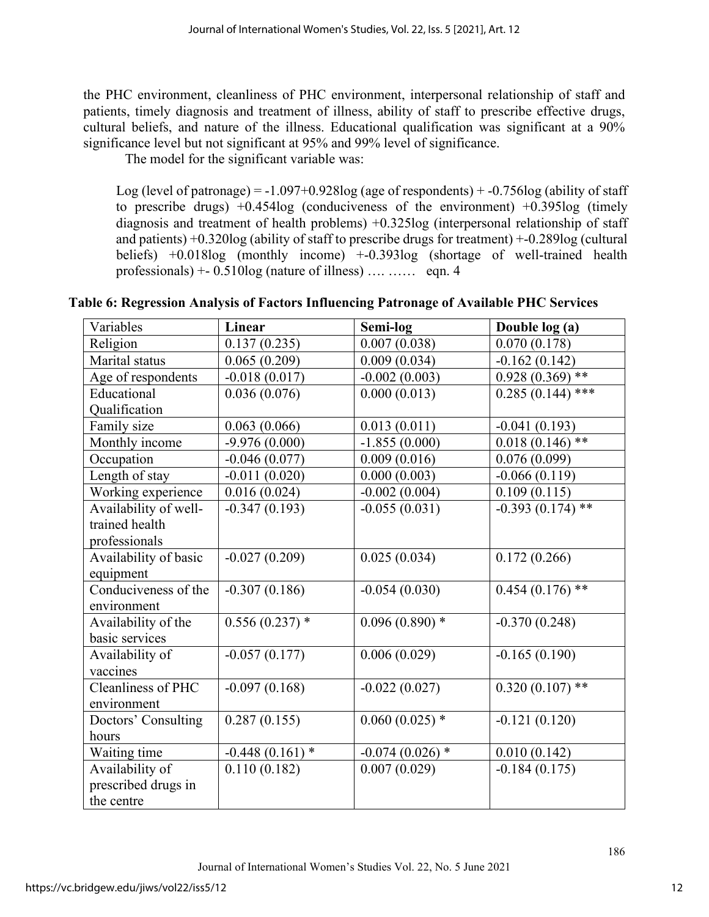the PHC environment, cleanliness of PHC environment, interpersonal relationship of staff and patients, timely diagnosis and treatment of illness, ability of staff to prescribe effective drugs, cultural beliefs, and nature of the illness. Educational qualification was significant at a 90% significance level but not significant at 95% and 99% level of significance.

The model for the significant variable was:

Log (level of patronage) =  $-1.097+0.928$ log (age of respondents) +  $-0.756$ log (ability of staff to prescribe drugs)  $+0.454\log$  (conduciveness of the environment)  $+0.395\log$  (timely diagnosis and treatment of health problems) +0.325log (interpersonal relationship of staff and patients) +0.320log (ability of staff to prescribe drugs for treatment) +-0.289log (cultural beliefs) +0.018log (monthly income) +-0.393log (shortage of well-trained health professionals)  $+ - 0.510$ log (nature of illness) .... …… eqn. 4

| Variables                 | Linear            | Semi-log          | Double log (a)     |
|---------------------------|-------------------|-------------------|--------------------|
| Religion                  | 0.137(0.235)      | 0.007(0.038)      | 0.070(0.178)       |
| Marital status            | 0.065(0.209)      | 0.009(0.034)      | $-0.162(0.142)$    |
| Age of respondents        | $-0.018(0.017)$   | $-0.002(0.003)$   | $0.928(0.369)$ **  |
| Educational               | 0.036(0.076)      | 0.000(0.013)      | $0.285(0.144)$ *** |
| Qualification             |                   |                   |                    |
| Family size               | 0.063(0.066)      | 0.013(0.011)      | $-0.041(0.193)$    |
| Monthly income            | $-9.976(0.000)$   | $-1.855(0.000)$   | $0.018(0.146)$ **  |
| Occupation                | $-0.046(0.077)$   | 0.009(0.016)      | 0.076(0.099)       |
| Length of stay            | $-0.011(0.020)$   | 0.000(0.003)      | $-0.066(0.119)$    |
| Working experience        | 0.016(0.024)      | $-0.002(0.004)$   | 0.109(0.115)       |
| Availability of well-     | $-0.347(0.193)$   | $-0.055(0.031)$   | $-0.393(0.174)$ ** |
| trained health            |                   |                   |                    |
| professionals             |                   |                   |                    |
| Availability of basic     | $-0.027(0.209)$   | 0.025(0.034)      | 0.172(0.266)       |
| equipment                 |                   |                   |                    |
| Conduciveness of the      | $-0.307(0.186)$   | $-0.054(0.030)$   | $0.454(0.176)$ **  |
| environment               |                   |                   |                    |
| Availability of the       | $0.556(0.237)$ *  | $0.096(0.890)*$   | $-0.370(0.248)$    |
| basic services            |                   |                   |                    |
| Availability of           | $-0.057(0.177)$   | 0.006(0.029)      | $-0.165(0.190)$    |
| vaccines                  |                   |                   |                    |
| <b>Cleanliness of PHC</b> | $-0.097(0.168)$   | $-0.022(0.027)$   | $0.320(0.107)$ **  |
| environment               |                   |                   |                    |
| Doctors' Consulting       | 0.287(0.155)      | $0.060(0.025)$ *  | $-0.121(0.120)$    |
| hours                     |                   |                   |                    |
| Waiting time              | $-0.448(0.161)$ * | $-0.074(0.026)$ * | 0.010(0.142)       |
| Availability of           | 0.110(0.182)      | 0.007(0.029)      | $-0.184(0.175)$    |
| prescribed drugs in       |                   |                   |                    |
| the centre                |                   |                   |                    |

# **Table 6: Regression Analysis of Factors Influencing Patronage of Available PHC Services**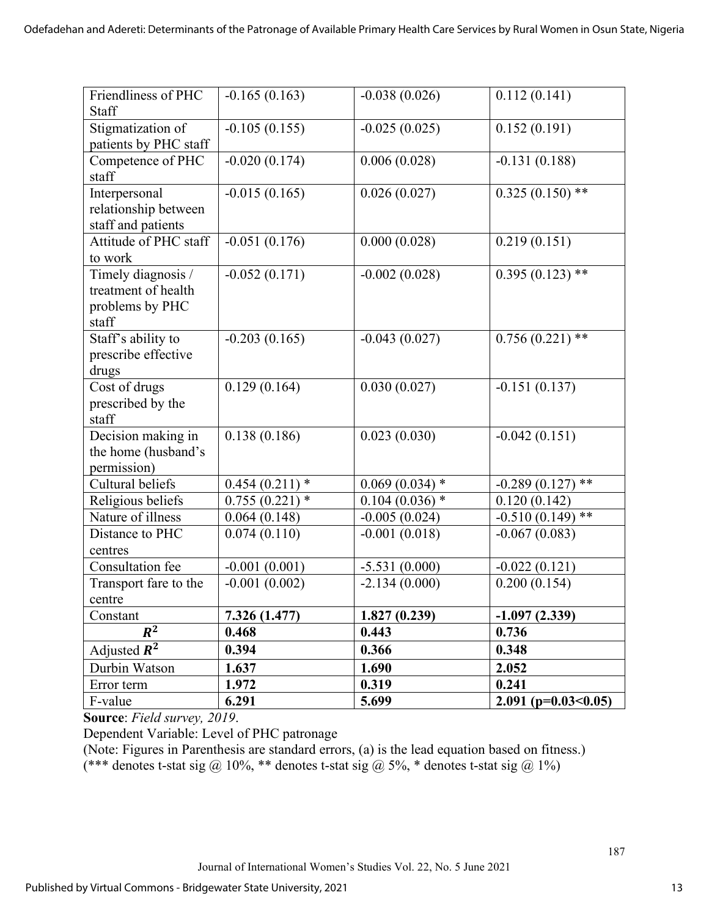| Friendliness of PHC        | $-0.165(0.163)$  | $-0.038(0.026)$  | 0.112(0.141)             |
|----------------------------|------------------|------------------|--------------------------|
| <b>Staff</b>               |                  |                  |                          |
| Stigmatization of          | $-0.105(0.155)$  | $-0.025(0.025)$  | 0.152(0.191)             |
| patients by PHC staff      |                  |                  |                          |
| Competence of PHC          | $-0.020(0.174)$  | 0.006(0.028)     | $-0.131(0.188)$          |
| staff                      |                  |                  |                          |
| Interpersonal              | $-0.015(0.165)$  | 0.026(0.027)     | $0.325(0.150)$ **        |
| relationship between       |                  |                  |                          |
| staff and patients         |                  |                  |                          |
| Attitude of PHC staff      | $-0.051(0.176)$  | 0.000(0.028)     | 0.219(0.151)             |
| to work                    |                  |                  |                          |
| Timely diagnosis /         | $-0.052(0.171)$  | $-0.002(0.028)$  | $0.395(0.123)$ **        |
| treatment of health        |                  |                  |                          |
| problems by PHC            |                  |                  |                          |
| staff                      |                  |                  |                          |
| Staff's ability to         | $-0.203(0.165)$  | $-0.043(0.027)$  | $0.756(0.221)$ **        |
| prescribe effective        |                  |                  |                          |
| drugs<br>Cost of drugs     | 0.129(0.164)     |                  |                          |
|                            |                  | 0.030(0.027)     | $-0.151(0.137)$          |
| prescribed by the<br>staff |                  |                  |                          |
| Decision making in         | 0.138(0.186)     | 0.023(0.030)     | $-0.042(0.151)$          |
| the home (husband's        |                  |                  |                          |
| permission)                |                  |                  |                          |
| Cultural beliefs           | $0.454(0.211)*$  | $0.069(0.034)$ * | **<br>$-0.289(0.127)$    |
| Religious beliefs          | $0.755(0.221)$ * | $0.104(0.036)$ * | 0.120(0.142)             |
| Nature of illness          | 0.064(0.148)     | $-0.005(0.024)$  | $***$<br>$-0.510(0.149)$ |
| Distance to PHC            | 0.074(0.110)     | $-0.001(0.018)$  | $-0.067(0.083)$          |
| centres                    |                  |                  |                          |
| Consultation fee           | $-0.001(0.001)$  | $-5.531(0.000)$  | $-0.022(0.121)$          |
| Transport fare to the      | $-0.001(0.002)$  | $-2.134(0.000)$  | 0.200(0.154)             |
| centre                     |                  |                  |                          |
| Constant                   | 7.326 (1.477)    | 1.827(0.239)     | $-1.097(2.339)$          |
| $R^2$                      | 0.468            | 0.443            | 0.736                    |
| Adjusted $R^2$             | 0.394            | 0.366            | 0.348                    |
| Durbin Watson              | 1.637            | 1.690            | 2.052                    |
| Error term                 | 1.972            | 0.319            | 0.241                    |
| F-value                    | 6.291            | 5.699            | $2.091$ (p=0.03<0.05)    |

**Source**: *Field survey, 2019*.

Dependent Variable: Level of PHC patronage

(Note: Figures in Parenthesis are standard errors, (a) is the lead equation based on fitness.) (\*\*\* denotes t-stat sig @ 10%, \*\* denotes t-stat sig @ 5%, \* denotes t-stat sig @ 1%)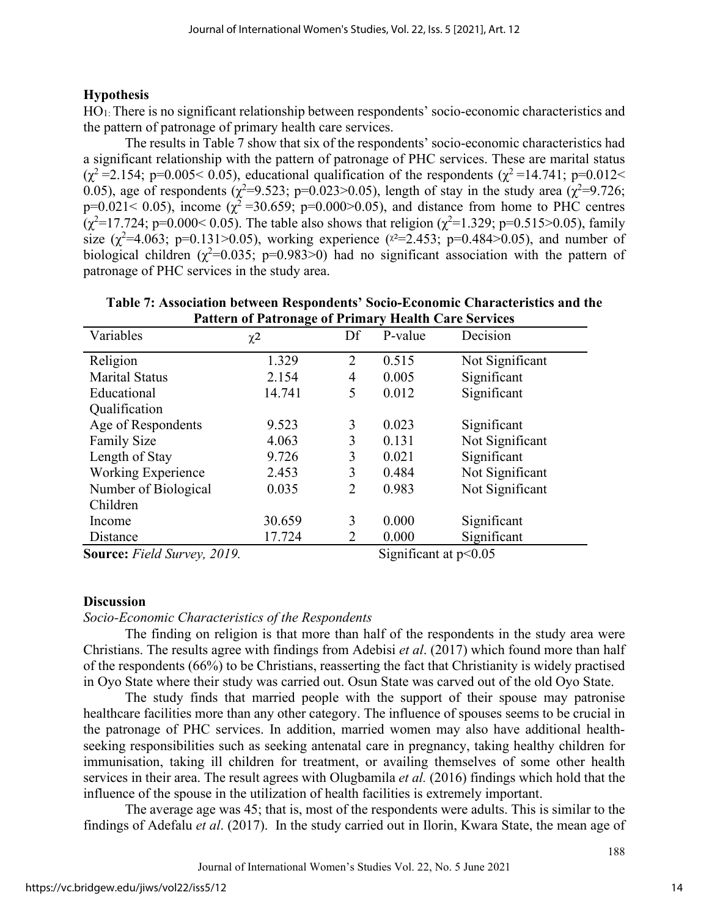# **Hypothesis**

HO1: There is no significant relationship between respondents' socio-economic characteristics and the pattern of patronage of primary health care services.

The results in Table 7 show that six of the respondents' socio-economic characteristics had a significant relationship with the pattern of patronage of PHC services. These are marital status  $(\chi^2 = 2.154; \, p = 0.005 < 0.05)$ , educational qualification of the respondents  $(\chi^2 = 14.741; \, p = 0.012 <$ 0.05), age of respondents ( $\chi^2$ =9.523; p=0.023>0.05), length of stay in the study area ( $\chi^2$ =9.726; p=0.021< 0.05), income  $(\chi^2$ =30.659; p=0.000>0.05), and distance from home to PHC centres  $(\chi^2=17.724; p=0.000<0.05)$ . The table also shows that religion  $(\chi^2=1.329; p=0.515>0.05)$ , family size  $(\chi^2=4.063; \text{ p=0.131}>0.05)$ , working experience ( $\chi^2=2.453; \text{ p=0.484}>0.05$ ), and number of biological children  $(\chi^2=0.035; p=0.983>0)$  had no significant association with the pattern of patronage of PHC services in the study area.

| Table 7: Association between Respondents' Socio-Economic Characteristics and the<br><b>Pattern of Patronage of Primary Health Care Services</b> |                     |  |            |          |  |  |  |
|-------------------------------------------------------------------------------------------------------------------------------------------------|---------------------|--|------------|----------|--|--|--|
| ariables                                                                                                                                        | $\chi$ <sup>2</sup> |  | Df P-value | Decision |  |  |  |

| Variables                                                       | $\chi^2$ | Df             | P-value                        | Decision                 |
|-----------------------------------------------------------------|----------|----------------|--------------------------------|--------------------------|
| Religion                                                        | 1.329    | $\overline{2}$ | 0.515                          | Not Significant          |
| <b>Marital Status</b>                                           | 2.154    | 4              | 0.005                          | Significant              |
| Educational                                                     | 14.741   | 5              | 0.012                          | Significant              |
| Qualification                                                   |          |                |                                |                          |
| Age of Respondents                                              | 9.523    | 3              | 0.023                          | Significant              |
| <b>Family Size</b>                                              | 4.063    | 3              | 0.131                          | Not Significant          |
| Length of Stay                                                  | 9.726    | 3              | 0.021                          | Significant              |
| Working Experience                                              | 2.453    | 3              | 0.484                          | Not Significant          |
| Number of Biological                                            | 0.035    | 2              | 0.983                          | Not Significant          |
| Children                                                        |          |                |                                |                          |
| Income                                                          | 30.659   | 3              | 0.000                          | Significant              |
| Distance                                                        | 17.724   | 2              | 0.000                          | Significant              |
| $\sim$ $\sim$<br>1.10<br>$\mathbf{A}$ $\mathbf{A}$ $\mathbf{A}$ |          |                | $\cdot$ $\sim$<br>$\sim \cdot$ | $\Omega$ $\Omega$ $\sim$ |

**Source:** *Field Survey, 2019.* Significant at p<0.05

# **Discussion**

# *Socio-Economic Characteristics of the Respondents*

The finding on religion is that more than half of the respondents in the study area were Christians. The results agree with findings from Adebisi *et al*. (2017) which found more than half of the respondents (66%) to be Christians, reasserting the fact that Christianity is widely practised in Oyo State where their study was carried out. Osun State was carved out of the old Oyo State.

The study finds that married people with the support of their spouse may patronise healthcare facilities more than any other category. The influence of spouses seems to be crucial in the patronage of PHC services. In addition, married women may also have additional healthseeking responsibilities such as seeking antenatal care in pregnancy, taking healthy children for immunisation, taking ill children for treatment, or availing themselves of some other health services in their area. The result agrees with Olugbamila *et al.* (2016) findings which hold that the influence of the spouse in the utilization of health facilities is extremely important.

The average age was 45; that is, most of the respondents were adults. This is similar to the findings of Adefalu *et al*. (2017). In the study carried out in Ilorin, Kwara State, the mean age of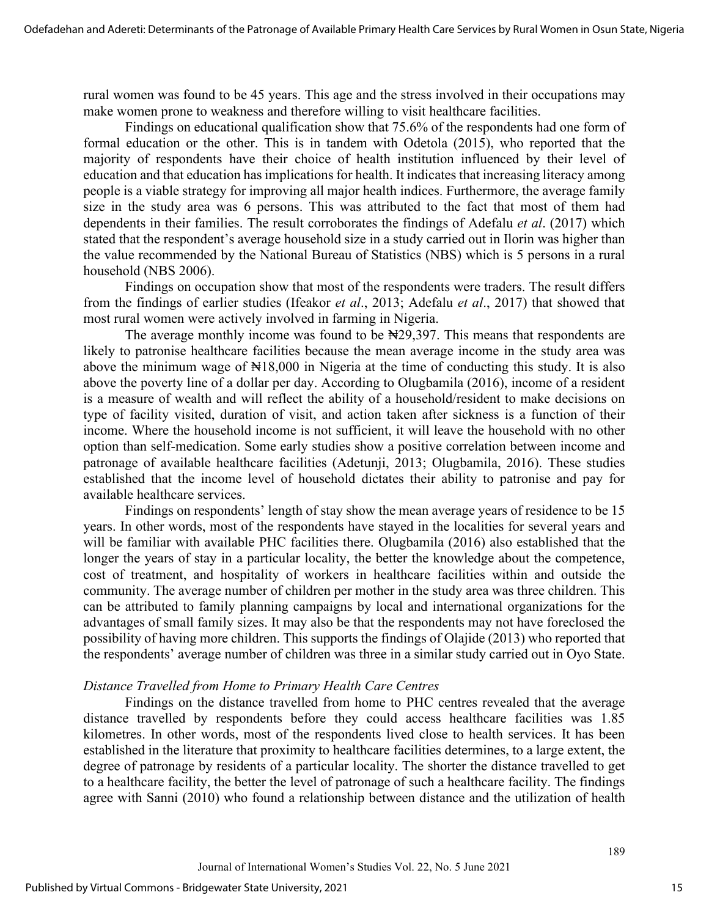rural women was found to be 45 years. This age and the stress involved in their occupations may make women prone to weakness and therefore willing to visit healthcare facilities.

Findings on educational qualification show that 75.6% of the respondents had one form of formal education or the other. This is in tandem with Odetola (2015), who reported that the majority of respondents have their choice of health institution influenced by their level of education and that education has implications for health. It indicates that increasing literacy among people is a viable strategy for improving all major health indices. Furthermore, the average family size in the study area was 6 persons. This was attributed to the fact that most of them had dependents in their families. The result corroborates the findings of Adefalu *et al*. (2017) which stated that the respondent's average household size in a study carried out in Ilorin was higher than the value recommended by the National Bureau of Statistics (NBS) which is 5 persons in a rural household (NBS 2006).

Findings on occupation show that most of the respondents were traders. The result differs from the findings of earlier studies (Ifeakor *et al*., 2013; Adefalu *et al*., 2017) that showed that most rural women were actively involved in farming in Nigeria.

The average monthly income was found to be  $\aleph$ 29,397. This means that respondents are likely to patronise healthcare facilities because the mean average income in the study area was above the minimum wage of  $\mathbb{N}18,000$  in Nigeria at the time of conducting this study. It is also above the poverty line of a dollar per day. According to Olugbamila (2016), income of a resident is a measure of wealth and will reflect the ability of a household/resident to make decisions on type of facility visited, duration of visit, and action taken after sickness is a function of their income. Where the household income is not sufficient, it will leave the household with no other option than self-medication. Some early studies show a positive correlation between income and patronage of available healthcare facilities (Adetunji, 2013; Olugbamila, 2016). These studies established that the income level of household dictates their ability to patronise and pay for available healthcare services.

Findings on respondents' length of stay show the mean average years of residence to be 15 years. In other words, most of the respondents have stayed in the localities for several years and will be familiar with available PHC facilities there. Olugbamila (2016) also established that the longer the years of stay in a particular locality, the better the knowledge about the competence, cost of treatment, and hospitality of workers in healthcare facilities within and outside the community. The average number of children per mother in the study area was three children. This can be attributed to family planning campaigns by local and international organizations for the advantages of small family sizes. It may also be that the respondents may not have foreclosed the possibility of having more children. This supports the findings of Olajide (2013) who reported that the respondents' average number of children was three in a similar study carried out in Oyo State.

#### *Distance Travelled from Home to Primary Health Care Centres*

Findings on the distance travelled from home to PHC centres revealed that the average distance travelled by respondents before they could access healthcare facilities was 1.85 kilometres. In other words, most of the respondents lived close to health services. It has been established in the literature that proximity to healthcare facilities determines, to a large extent, the degree of patronage by residents of a particular locality. The shorter the distance travelled to get to a healthcare facility, the better the level of patronage of such a healthcare facility. The findings agree with Sanni (2010) who found a relationship between distance and the utilization of health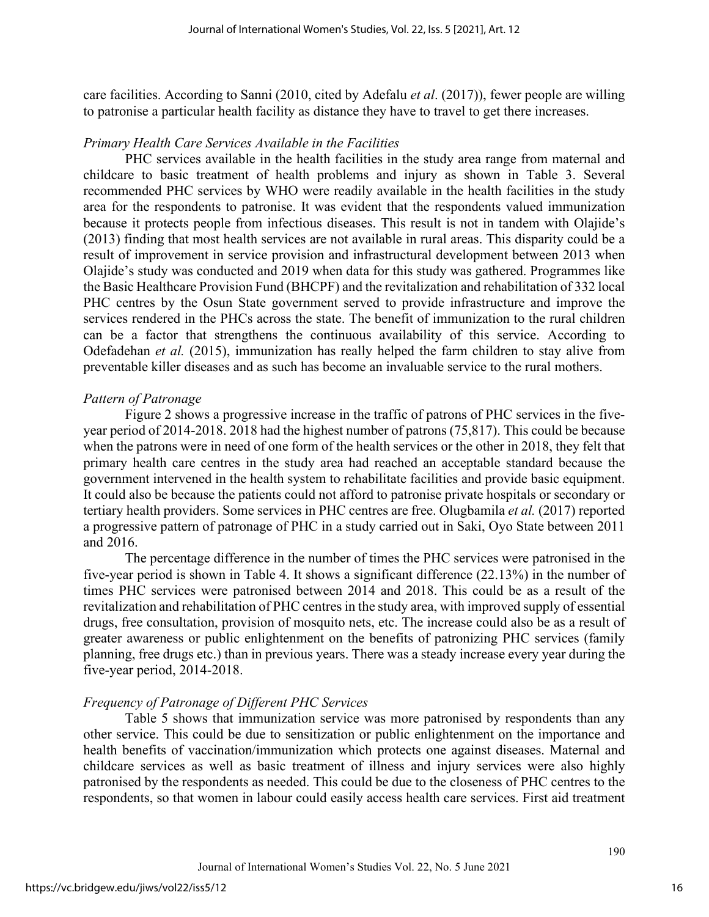care facilities. According to Sanni (2010, cited by Adefalu *et al*. (2017)), fewer people are willing to patronise a particular health facility as distance they have to travel to get there increases.

#### *Primary Health Care Services Available in the Facilities*

PHC services available in the health facilities in the study area range from maternal and childcare to basic treatment of health problems and injury as shown in Table 3. Several recommended PHC services by WHO were readily available in the health facilities in the study area for the respondents to patronise. It was evident that the respondents valued immunization because it protects people from infectious diseases. This result is not in tandem with Olajide's (2013) finding that most health services are not available in rural areas. This disparity could be a result of improvement in service provision and infrastructural development between 2013 when Olajide's study was conducted and 2019 when data for this study was gathered. Programmes like the Basic Healthcare Provision Fund (BHCPF) and the revitalization and rehabilitation of 332 local PHC centres by the Osun State government served to provide infrastructure and improve the services rendered in the PHCs across the state. The benefit of immunization to the rural children can be a factor that strengthens the continuous availability of this service. According to Odefadehan *et al.* (2015), immunization has really helped the farm children to stay alive from preventable killer diseases and as such has become an invaluable service to the rural mothers.

# *Pattern of Patronage*

Figure 2 shows a progressive increase in the traffic of patrons of PHC services in the fiveyear period of 2014-2018. 2018 had the highest number of patrons (75,817). This could be because when the patrons were in need of one form of the health services or the other in 2018, they felt that primary health care centres in the study area had reached an acceptable standard because the government intervened in the health system to rehabilitate facilities and provide basic equipment. It could also be because the patients could not afford to patronise private hospitals or secondary or tertiary health providers. Some services in PHC centres are free. Olugbamila *et al.* (2017) reported a progressive pattern of patronage of PHC in a study carried out in Saki, Oyo State between 2011 and 2016.

The percentage difference in the number of times the PHC services were patronised in the five-year period is shown in Table 4. It shows a significant difference (22.13%) in the number of times PHC services were patronised between 2014 and 2018. This could be as a result of the revitalization and rehabilitation of PHC centres in the study area, with improved supply of essential drugs, free consultation, provision of mosquito nets, etc. The increase could also be as a result of greater awareness or public enlightenment on the benefits of patronizing PHC services (family planning, free drugs etc.) than in previous years. There was a steady increase every year during the five-year period, 2014-2018.

#### *Frequency of Patronage of Different PHC Services*

Table 5 shows that immunization service was more patronised by respondents than any other service. This could be due to sensitization or public enlightenment on the importance and health benefits of vaccination/immunization which protects one against diseases. Maternal and childcare services as well as basic treatment of illness and injury services were also highly patronised by the respondents as needed. This could be due to the closeness of PHC centres to the respondents, so that women in labour could easily access health care services. First aid treatment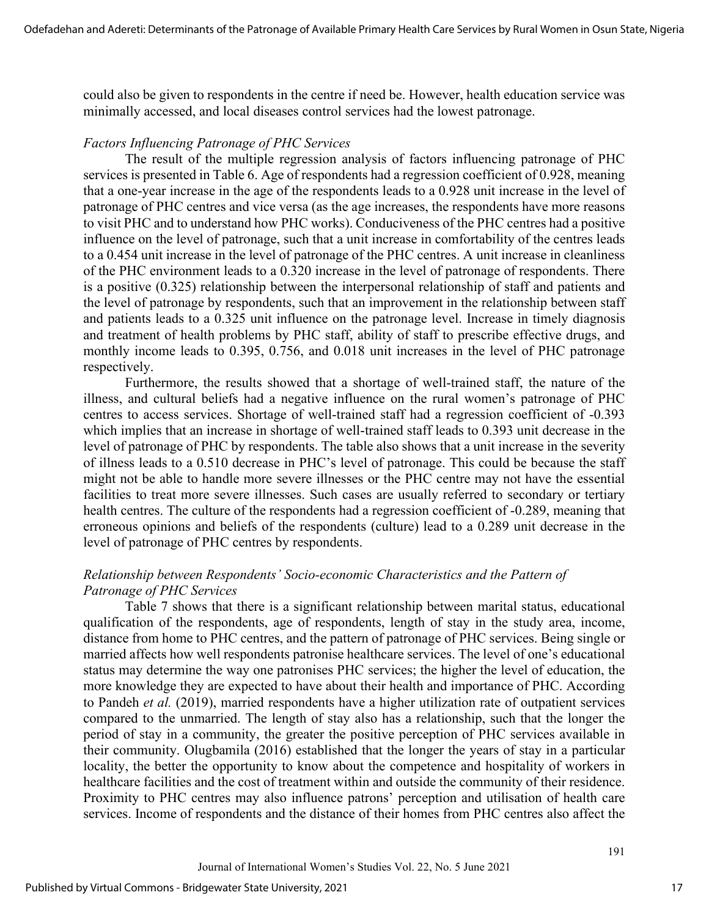could also be given to respondents in the centre if need be. However, health education service was minimally accessed, and local diseases control services had the lowest patronage.

#### *Factors Influencing Patronage of PHC Services*

The result of the multiple regression analysis of factors influencing patronage of PHC services is presented in Table 6. Age of respondents had a regression coefficient of 0.928, meaning that a one-year increase in the age of the respondents leads to a 0.928 unit increase in the level of patronage of PHC centres and vice versa (as the age increases, the respondents have more reasons to visit PHC and to understand how PHC works). Conduciveness of the PHC centres had a positive influence on the level of patronage, such that a unit increase in comfortability of the centres leads to a 0.454 unit increase in the level of patronage of the PHC centres. A unit increase in cleanliness of the PHC environment leads to a 0.320 increase in the level of patronage of respondents. There is a positive (0.325) relationship between the interpersonal relationship of staff and patients and the level of patronage by respondents, such that an improvement in the relationship between staff and patients leads to a 0.325 unit influence on the patronage level. Increase in timely diagnosis and treatment of health problems by PHC staff, ability of staff to prescribe effective drugs, and monthly income leads to 0.395, 0.756, and 0.018 unit increases in the level of PHC patronage respectively.

Furthermore, the results showed that a shortage of well-trained staff, the nature of the illness, and cultural beliefs had a negative influence on the rural women's patronage of PHC centres to access services. Shortage of well-trained staff had a regression coefficient of -0.393 which implies that an increase in shortage of well-trained staff leads to 0.393 unit decrease in the level of patronage of PHC by respondents. The table also shows that a unit increase in the severity of illness leads to a 0.510 decrease in PHC's level of patronage. This could be because the staff might not be able to handle more severe illnesses or the PHC centre may not have the essential facilities to treat more severe illnesses. Such cases are usually referred to secondary or tertiary health centres. The culture of the respondents had a regression coefficient of -0.289, meaning that erroneous opinions and beliefs of the respondents (culture) lead to a 0.289 unit decrease in the level of patronage of PHC centres by respondents.

# *Relationship between Respondents' Socio-economic Characteristics and the Pattern of Patronage of PHC Services*

Table 7 shows that there is a significant relationship between marital status, educational qualification of the respondents, age of respondents, length of stay in the study area, income, distance from home to PHC centres, and the pattern of patronage of PHC services. Being single or married affects how well respondents patronise healthcare services. The level of one's educational status may determine the way one patronises PHC services; the higher the level of education, the more knowledge they are expected to have about their health and importance of PHC. According to Pandeh *et al.* (2019), married respondents have a higher utilization rate of outpatient services compared to the unmarried. The length of stay also has a relationship, such that the longer the period of stay in a community, the greater the positive perception of PHC services available in their community. Olugbamila (2016) established that the longer the years of stay in a particular locality, the better the opportunity to know about the competence and hospitality of workers in healthcare facilities and the cost of treatment within and outside the community of their residence. Proximity to PHC centres may also influence patrons' perception and utilisation of health care services. Income of respondents and the distance of their homes from PHC centres also affect the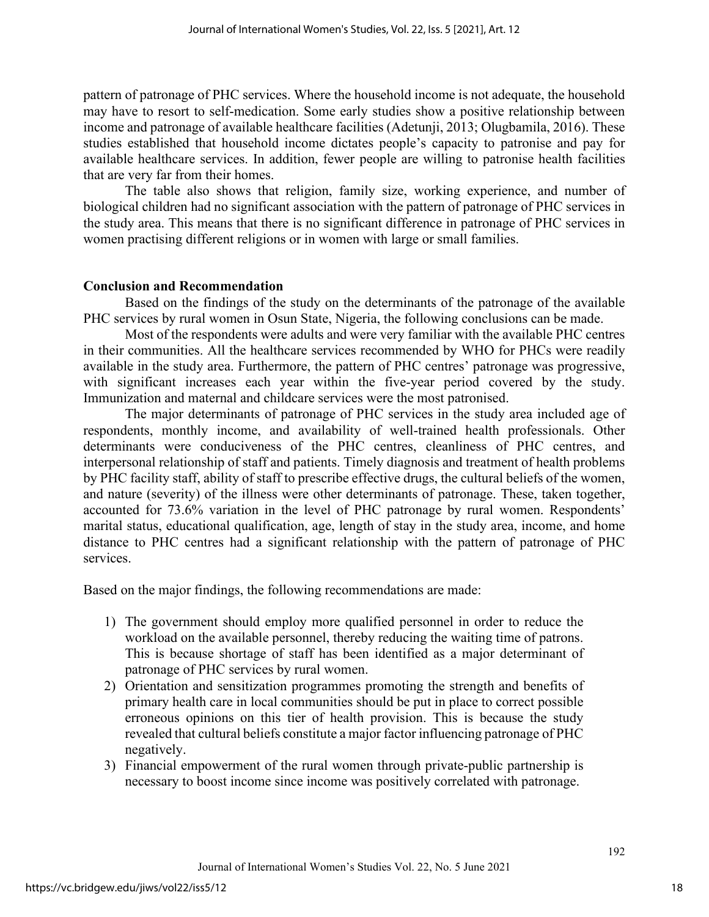pattern of patronage of PHC services. Where the household income is not adequate, the household may have to resort to self-medication. Some early studies show a positive relationship between income and patronage of available healthcare facilities (Adetunji, 2013; Olugbamila, 2016). These studies established that household income dictates people's capacity to patronise and pay for available healthcare services. In addition, fewer people are willing to patronise health facilities that are very far from their homes.

The table also shows that religion, family size, working experience, and number of biological children had no significant association with the pattern of patronage of PHC services in the study area. This means that there is no significant difference in patronage of PHC services in women practising different religions or in women with large or small families.

#### **Conclusion and Recommendation**

Based on the findings of the study on the determinants of the patronage of the available PHC services by rural women in Osun State, Nigeria, the following conclusions can be made.

Most of the respondents were adults and were very familiar with the available PHC centres in their communities. All the healthcare services recommended by WHO for PHCs were readily available in the study area. Furthermore, the pattern of PHC centres' patronage was progressive, with significant increases each year within the five-year period covered by the study. Immunization and maternal and childcare services were the most patronised.

The major determinants of patronage of PHC services in the study area included age of respondents, monthly income, and availability of well-trained health professionals. Other determinants were conduciveness of the PHC centres, cleanliness of PHC centres, and interpersonal relationship of staff and patients. Timely diagnosis and treatment of health problems by PHC facility staff, ability of staff to prescribe effective drugs, the cultural beliefs of the women, and nature (severity) of the illness were other determinants of patronage. These, taken together, accounted for 73.6% variation in the level of PHC patronage by rural women. Respondents' marital status, educational qualification, age, length of stay in the study area, income, and home distance to PHC centres had a significant relationship with the pattern of patronage of PHC services.

Based on the major findings, the following recommendations are made:

- 1) The government should employ more qualified personnel in order to reduce the workload on the available personnel, thereby reducing the waiting time of patrons. This is because shortage of staff has been identified as a major determinant of patronage of PHC services by rural women.
- 2) Orientation and sensitization programmes promoting the strength and benefits of primary health care in local communities should be put in place to correct possible erroneous opinions on this tier of health provision. This is because the study revealed that cultural beliefs constitute a major factor influencing patronage of PHC negatively.
- 3) Financial empowerment of the rural women through private-public partnership is necessary to boost income since income was positively correlated with patronage.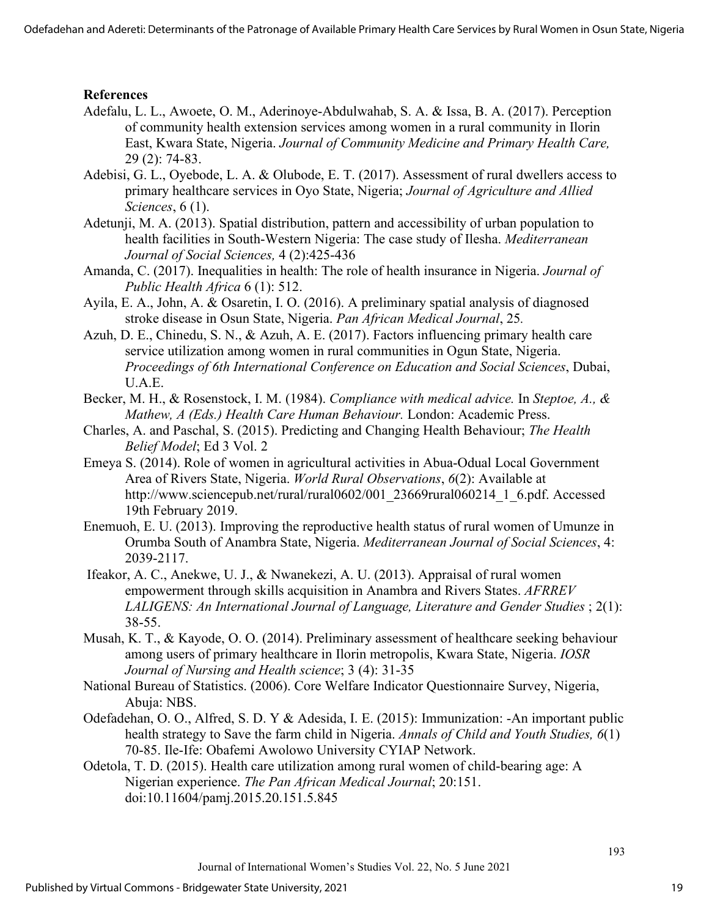# **References**

- Adefalu, L. L., Awoete, O. M., Aderinoye-Abdulwahab, S. A. & Issa, B. A. (2017). Perception of community health extension services among women in a rural community in Ilorin East, Kwara State, Nigeria. *Journal of Community Medicine and Primary Health Care,* 29 (2): 74-83.
- Adebisi, G. L., Oyebode, L. A. & Olubode, E. T. (2017). Assessment of rural dwellers access to primary healthcare services in Oyo State, Nigeria; *Journal of Agriculture and Allied Sciences*, 6 (1).
- Adetunji, M. A. (2013). Spatial distribution, pattern and accessibility of urban population to health facilities in South-Western Nigeria: The case study of Ilesha. *Mediterranean Journal of Social Sciences,* 4 (2):425-436
- [Amanda, C.](http://europepmc.org/search/?scope=fulltext&page=1&query=AUTH:%22Chukwudozie%20A%22) (2017). Inequalities in health: The role of health insurance in Nigeria. *Journal of Public Health Africa* 6 (1): 512.
- Ayila, E. A., John, A. & Osaretin, I. O. (2016). A preliminary spatial analysis of diagnosed stroke disease in Osun State, Nigeria. *Pan African Medical Journal*, 25*.*
- Azuh, D. E., Chinedu, S. N., & Azuh, A. E. (2017). Factors influencing primary health care service utilization among women in rural communities in Ogun State, Nigeria. *Proceedings of 6th International Conference on Education and Social Sciences*, Dubai, U.A.E.
- Becker, M. H., & Rosenstock, I. M. (1984). *Compliance with medical advice.* In *Steptoe, A., & Mathew, A (Eds.) Health Care Human Behaviour.* London: Academic Press.
- Charles, A. and Paschal, S. (2015). Predicting and Changing Health Behaviour; *The Health Belief Model*; Ed 3 Vol. 2
- Emeya S. (2014). Role of women in agricultural activities in Abua-Odual Local Government Area of Rivers State, Nigeria. *World Rural Observations*, *6*(2): Available at [http://www.sciencepub.net/rural/rural0602/001\\_23669rural060214\\_1\\_6.pdf](http://www.sciencepub.net/rural/rural0602/001_23669rural060214_1_6.pdf). Accessed 19th February 2019.
- Enemuoh, E. U. (2013). Improving the reproductive health status of rural women of Umunze in Orumba South of Anambra State, Nigeria. *Mediterranean Journal of Social Sciences*, 4: 2039-2117.
- Ifeakor, A. C., Anekwe, U. J., & Nwanekezi, A. U. (2013). Appraisal of rural women empowerment through skills acquisition in Anambra and Rivers States. *AFRREV LALIGENS: An International Journal of Language, Literature and Gender Studies* ; 2(1): 38-55.
- Musah, K. T., & Kayode, O. O. (2014). Preliminary assessment of healthcare seeking behaviour among users of primary healthcare in Ilorin metropolis, Kwara State, Nigeria. *IOSR Journal of Nursing and Health science*; 3 (4): 31-35
- National Bureau of Statistics. (2006). Core Welfare Indicator Questionnaire Survey, Nigeria, Abuja: NBS.
- Odefadehan, O. O., Alfred, S. D. Y & Adesida, I. E. (2015): Immunization: -An important public health strategy to Save the farm child in Nigeria. *Annals of Child and Youth Studies, 6*(1) 70-85. Ile-Ife: Obafemi Awolowo University CYIAP Network.
- Odetola, T. D. (2015). Health care utilization among rural women of child-bearing age: A Nigerian experience. *The Pan African Medical Journal*; 20:151. doi:10.11604/pamj.2015.20.151.5.845